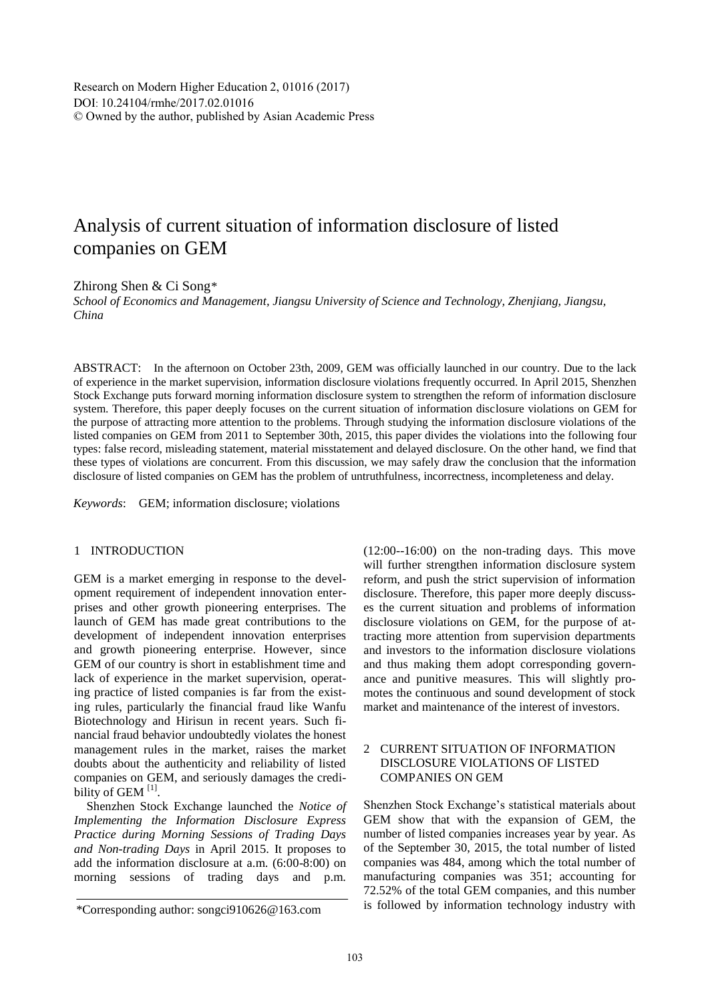Research on Modern Higher Education 2, 01016 (2017) DOI: 10.24104/rmhe/2017.02.01016 © Owned by the author, published by Asian Academic Press

# Analysis of current situation of information disclosure of listed companies on GEM

Zhirong Shen & Ci Song*\**

*School of Economics and Management, Jiangsu University of Science and Technology, Zhenjiang, Jiangsu, China*

ABSTRACT: In the afternoon on October 23th, 2009, GEM was officially launched in our country. Due to the lack of experience in the market supervision, information disclosure violations frequently occurred. In April 2015, Shenzhen Stock Exchange puts forward morning information disclosure system to strengthen the reform of information disclosure system. Therefore, this paper deeply focuses on the current situation of information disclosure violations on GEM for the purpose of attracting more attention to the problems. Through studying the information disclosure violations of the listed companies on GEM from 2011 to September 30th, 2015, this paper divides the violations into the following four types: false record, misleading statement, material misstatement and delayed disclosure. On the other hand, we find that these types of violations are concurrent. From this discussion, we may safely draw the conclusion that the information disclosure of listed companies on GEM has the problem of untruthfulness, incorrectness, incompleteness and delay.

*Keywords*: GEM; information disclosure; violations

## 1 INTRODUCTION

GEM is a market emerging in response to the development requirement of independent innovation enterprises and other growth pioneering enterprises. The launch of GEM has made great contributions to the development of independent innovation enterprises and growth pioneering enterprise. However, since GEM of our country is short in establishment time and lack of experience in the market supervision, operating practice of listed companies is far from the existing rules, particularly the financial fraud like Wanfu Biotechnology and Hirisun in recent years. Such financial fraud behavior undoubtedly violates the honest management rules in the market, raises the market doubts about the authenticity and reliability of listed companies on GEM, and seriously damages the credibility of GEM<sup>[1]</sup>.

Shenzhen Stock Exchange launched the *Notice of Implementing the Information Disclosure Express Practice during Morning Sessions of Trading Days and Non-trading Days* in April 2015. It proposes to add the information disclosure at a.m. (6:00-8:00) on morning sessions of trading days and p.m.

(12:00--16:00) on the non-trading days. This move will further strengthen information disclosure system reform, and push the strict supervision of information disclosure. Therefore, this paper more deeply discusses the current situation and problems of information disclosure violations on GEM, for the purpose of attracting more attention from supervision departments and investors to the information disclosure violations and thus making them adopt corresponding governance and punitive measures. This will slightly promotes the continuous and sound development of stock market and maintenance of the interest of investors.

# 2 CURRENT SITUATION OF INFORMATION DISCLOSURE VIOLATIONS OF LISTED COMPANIES ON GEM

Shenzhen Stock Exchange's statistical materials about GEM show that with the expansion of GEM, the number of listed companies increases year by year. As of the September 30, 2015, the total number of listed companies was 484, among which the total number of manufacturing companies was 351; accounting for 72.52% of the total GEM companies, and this number is followed by information technology industry with

<sup>\*</sup>Corresponding author: songci910626@163.com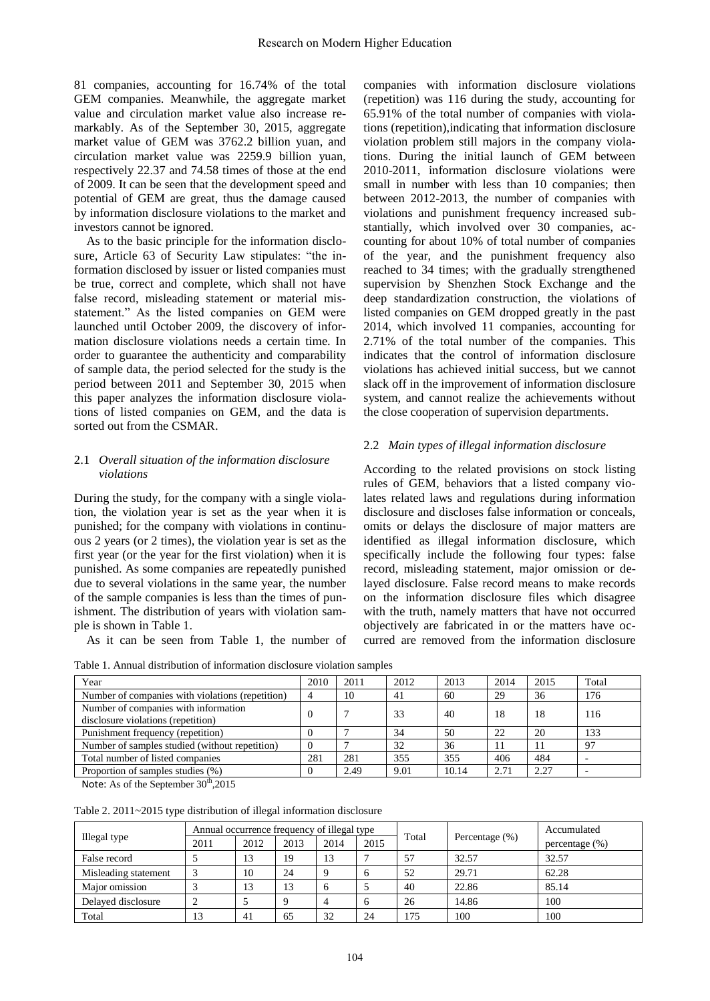81 companies, accounting for 16.74% of the total GEM companies. Meanwhile, the aggregate market value and circulation market value also increase remarkably. As of the September 30, 2015, aggregate market value of GEM was 3762.2 billion yuan, and circulation market value was 2259.9 billion yuan, respectively 22.37 and 74.58 times of those at the end of 2009. It can be seen that the development speed and potential of GEM are great, thus the damage caused by information disclosure violations to the market and investors cannot be ignored.

As to the basic principle for the information disclosure, Article 63 of Security Law stipulates: "the information disclosed by issuer or listed companies must be true, correct and complete, which shall not have false record, misleading statement or material misstatement." As the listed companies on GEM were launched until October 2009, the discovery of information disclosure violations needs a certain time. In order to guarantee the authenticity and comparability of sample data, the period selected for the study is the period between 2011 and September 30, 2015 when this paper analyzes the information disclosure violations of listed companies on GEM, and the data is sorted out from the CSMAR.

## 2.1 *Overall situation of the information disclosure violations*

During the study, for the company with a single violation, the violation year is set as the year when it is punished; for the company with violations in continuous 2 years (or 2 times), the violation year is set as the first year (or the year for the first violation) when it is punished. As some companies are repeatedly punished due to several violations in the same year, the number of the sample companies is less than the times of punishment. The distribution of years with violation sample is shown in Table 1.

As it can be seen from Table 1, the number of

companies with information disclosure violations (repetition) was 116 during the study, accounting for 65.91% of the total number of companies with violations (repetition),indicating that information disclosure violation problem still majors in the company violations. During the initial launch of GEM between 2010-2011, information disclosure violations were small in number with less than 10 companies; then between 2012-2013, the number of companies with violations and punishment frequency increased substantially, which involved over 30 companies, accounting for about 10% of total number of companies of the year, and the punishment frequency also reached to 34 times; with the gradually strengthened supervision by Shenzhen Stock Exchange and the deep standardization construction, the violations of listed companies on GEM dropped greatly in the past 2014, which involved 11 companies, accounting for 2.71% of the total number of the companies. This indicates that the control of information disclosure violations has achieved initial success, but we cannot slack off in the improvement of information disclosure system, and cannot realize the achievements without the close cooperation of supervision departments.

## 2.2 *Main types of illegal information disclosure*

According to the related provisions on stock listing rules of GEM, behaviors that a listed company violates related laws and regulations during information disclosure and discloses false information or conceals, omits or delays the disclosure of major matters are identified as illegal information disclosure, which specifically include the following four types: false record, misleading statement, major omission or delayed disclosure. False record means to make records on the information disclosure files which disagree with the truth, namely matters that have not occurred objectively are fabricated in or the matters have occurred are removed from the information disclosure

| Table 1. Annual distribution of information disclosure violation samples |  |  |  |  |  |  |
|--------------------------------------------------------------------------|--|--|--|--|--|--|
|--------------------------------------------------------------------------|--|--|--|--|--|--|

| Year                                                                                                                                                |          | 2011 | 2012 | 2013  | 2014 | 2015 | Total |
|-----------------------------------------------------------------------------------------------------------------------------------------------------|----------|------|------|-------|------|------|-------|
| Number of companies with violations (repetition)                                                                                                    |          | 10   | 41   | 60    | 29   | 36   | 176   |
| Number of companies with information<br>disclosure violations (repetition)                                                                          |          |      | 33   | 40    | 18   | 18   | 116   |
| Punishment frequency (repetition)                                                                                                                   |          |      | 34   | 50    | 22   | 20   | 133   |
| Number of samples studied (without repetition)                                                                                                      | $\Omega$ |      | 32   | 36    | 11   |      | 97    |
| Total number of listed companies                                                                                                                    | 281      | 281  | 355  | 355   | 406  | 484  |       |
| Proportion of samples studies (%)<br>그 사람들은 그 사람들은 그 사람들은 그 사람들을 지르며 그 사람들을 지르며 그 사람들을 지르며 그 사람들을 지르며 그 사람들을 지르며 그 사람들을 지르며 그 사람들을 지르며 그 사람들을 지르며 그 |          | 2.49 | 9.01 | 10.14 | 2.71 | 2.27 |       |

Note: As of the September  $30<sup>th</sup>$ ,2015

| Table 2. 2011~2015 type distribution of illegal information disclosure |  |  |  |
|------------------------------------------------------------------------|--|--|--|
|------------------------------------------------------------------------|--|--|--|

|                      | Annual occurrence frequency of illegal type |      |      | Total |              | Accumulated |                   |                   |
|----------------------|---------------------------------------------|------|------|-------|--------------|-------------|-------------------|-------------------|
| Illegal type         | 2011                                        | 2012 | 2013 | 2014  | 2015         |             | Percentage $(\%)$ | percentage $(\%)$ |
| False record         |                                             | 13   | 19   | 13    |              | 57          | 32.57             | 32.57             |
| Misleading statement |                                             | 10   | 24   |       | $\mathbf{a}$ | 52          | 29.71             | 62.28             |
| Maior omission       |                                             | 13   | 13   |       |              | 40          | 22.86             | 85.14             |
| Delayed disclosure   |                                             |      |      |       | $\mathbf{a}$ | 26          | 14.86             | 100               |
| Total                | 13                                          | 41   | 65   | 32    | 24           | 175         | 100               | 100               |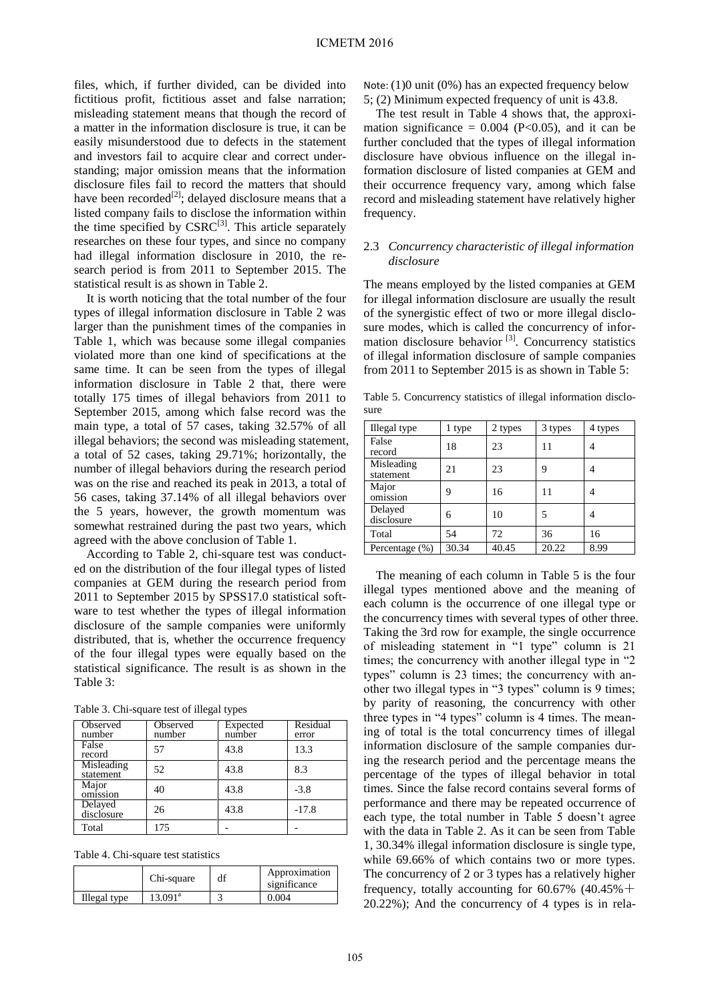files, which, if further divided, can be divided into fictitious profit, fictitious asset and false narration; misleading statement means that though the record of a matter in the information disclosure is true, it can be easily misunderstood due to defects in the statement and investors fail to acquire clear and correct understanding; major omission means that the information disclosure files fail to record the matters that should have been recorded<sup>[2]</sup>; delayed disclosure means that a listed company fails to disclose the information within the time specified by CSRC<sup>[3]</sup>. This article separately researches on these four types, and since no company had illegal information disclosure in 2010, the research period is from 2011 to September 2015. The statistical result is as shown in Table 2.

It is worth noticing that the total number of the four types of illegal information disclosure in Table 2 was larger than the punishment times of the companies in Table 1, which was because some illegal companies violated more than one kind of specifications at the same time. It can be seen from the types of illegal information disclosure in Table 2 that, there were totally 175 times of illegal behaviors from 2011 to September 2015, among which false record was the main type, a total of 57 cases, taking 32.57% of all illegal behaviors; the second was misleading statement, a total of 52 cases, taking 29.71%; horizontally, the number of illegal behaviors during the research period was on the rise and reached its peak in 2013, a total of 56 cases, taking 37.14% of all illegal behaviors over the 5 years, however, the growth momentum was somewhat restrained during the past two years, which agreed with the above conclusion of Table 1.

According to Table 2, chi-square test was conducted on the distribution of the four illegal types of listed companies at GEM during the research period from 2011 to September 2015 by SPSS17.0 statistical software to test whether the types of illegal information disclosure of the sample companies were uniformly distributed, that is, whether the occurrence frequency of the four illegal types were equally based on the statistical significance. The result is as shown in the Table 3:

| Observed<br>number      | Observed<br>number | Expected<br>number | Residual<br>error |
|-------------------------|--------------------|--------------------|-------------------|
| False<br>record         | 57                 | 43.8               | 13.3              |
| Misleading<br>statement | 52                 | 43.8               | 8.3               |
| Major<br>omission       | 40                 | 43.8               | $-3.8$            |
| Delayed<br>disclosure   | 26                 | 43.8               | $-17.8$           |
| Total                   | 175                |                    |                   |

Table 3. Chi-square test of illegal types

Table 4. Chi-square test statistics

|              | Chi-square | df | Approximation<br>significance |
|--------------|------------|----|-------------------------------|
| Illegal type | $13.091^a$ |    | 0.004                         |

Note: (1)0 unit (0%) has an expected frequency below 5; (2) Minimum expected frequency of unit is 43.8.

The test result in Table 4 shows that, the approximation significance =  $0.004$  (P<0.05), and it can be further concluded that the types of illegal information disclosure have obvious influence on the illegal information disclosure of listed companies at GEM and their occurrence frequency vary, among which false record and misleading statement have relatively higher frequency.

### 2.3 *Concurrency characteristic of illegal information disclosure*

The means employed by the listed companies at GEM for illegal information disclosure are usually the result of the synergistic effect of two or more illegal disclosure modes, which is called the concurrency of information disclosure behavior [3]. Concurrency statistics of illegal information disclosure of sample companies from 2011 to September 2015 is as shown in Table 5:

Table 5. Concurrency statistics of illegal information disclosure

| Illegal type            | 1 type | 2 types | 3 types | 4 types |
|-------------------------|--------|---------|---------|---------|
| False<br>record         | 18     | 23      | 11      |         |
| Misleading<br>statement | 21     | 23      | 9       |         |
| Major<br>omission       | Q      | 16      | 11      |         |
| Delayed<br>disclosure   | 6      | 10      | 5       |         |
| Total                   | 54     | 72      | 36      | 16      |
| Percentage (%)          | 30.34  | 40.45   | 20.22   | 8.99    |

The meaning of each column in Table 5 is the four illegal types mentioned above and the meaning of each column is the occurrence of one illegal type or the concurrency times with several types of other three. Taking the 3rd row for example, the single occurrence of misleading statement in "1 type" column is 21 times; the concurrency with another illegal type in "2 types" column is 23 times; the concurrency with another two illegal types in "3 types" column is 9 times; by parity of reasoning, the concurrency with other three types in "4 types" column is 4 times. The meaning of total is the total concurrency times of illegal information disclosure of the sample companies during the research period and the percentage means the percentage of the types of illegal behavior in total times. Since the false record contains several forms of performance and there may be repeated occurrence of each type, the total number in Table 5 doesn't agree with the data in Table 2. As it can be seen from Table 1, 30.34% illegal information disclosure is single type, while 69.66% of which contains two or more types. The concurrency of 2 or 3 types has a relatively higher frequency, totally accounting for  $60.67\%$  (40.45% + 20.22%); And the concurrency of 4 types is in rela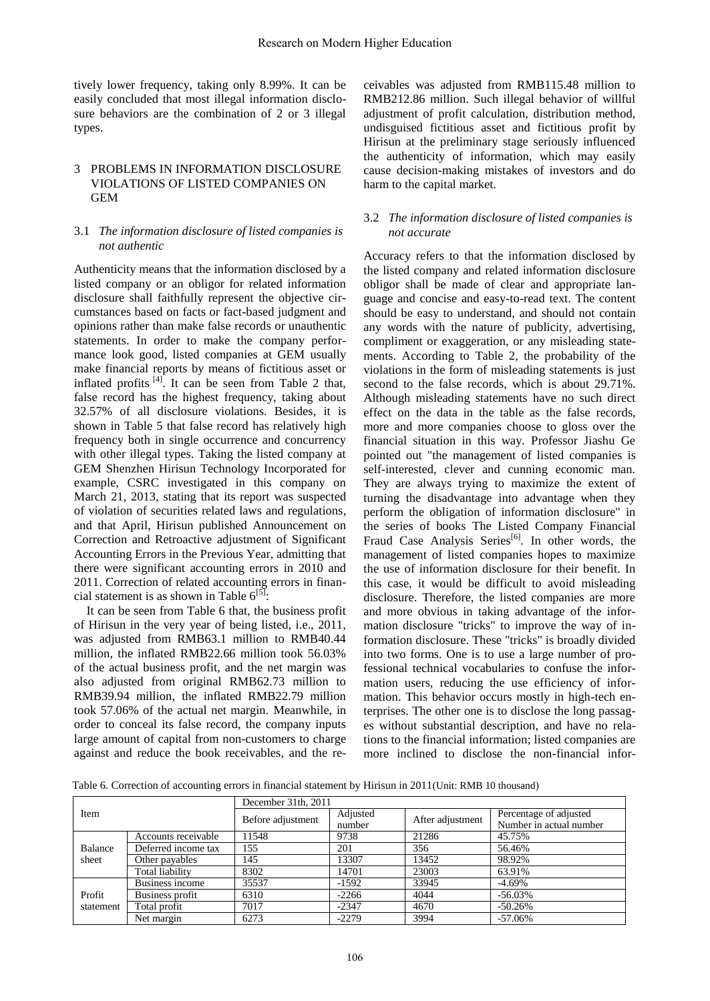tively lower frequency, taking only 8.99%. It can be easily concluded that most illegal information disclosure behaviors are the combination of 2 or 3 illegal types.

# 3 PROBLEMS IN INFORMATION DISCLOSURE VIOLATIONS OF LISTED COMPANIES ON GEM

#### 3.1 *The information disclosure of listed companies is not authentic*

Authenticity means that the information disclosed by a listed company or an obligor for related information disclosure shall faithfully represent the objective circumstances based on facts or fact-based judgment and opinions rather than make false records or unauthentic statements. In order to make the company performance look good, listed companies at GEM usually make financial reports by means of fictitious asset or inflated profits  $[4]$ . It can be seen from Table 2 that, false record has the highest frequency, taking about 32.57% of all disclosure violations. Besides, it is shown in Table 5 that false record has relatively high frequency both in single occurrence and concurrency with other illegal types. Taking the listed company at GEM Shenzhen Hirisun Technology Incorporated for example, CSRC investigated in this company on March 21, 2013, stating that its report was suspected of violation of securities related laws and regulations, and that April, Hirisun published Announcement on Correction and Retroactive adjustment of Significant Accounting Errors in the Previous Year, admitting that there were significant accounting errors in 2010 and 2011. Correction of related accounting errors in financial statement is as shown in Table  $6^{[5]}$ :

It can be seen from Table 6 that, the business profit of Hirisun in the very year of being listed, i.e., 2011, was adjusted from RMB63.1 million to RMB40.44 million, the inflated RMB22.66 million took 56.03% of the actual business profit, and the net margin was also adjusted from original RMB62.73 million to RMB39.94 million, the inflated RMB22.79 million took 57.06% of the actual net margin. Meanwhile, in order to conceal its false record, the company inputs large amount of capital from non-customers to charge against and reduce the book receivables, and the re-

ceivables was adjusted from RMB115.48 million to RMB212.86 million. Such illegal behavior of willful adjustment of profit calculation, distribution method, undisguised fictitious asset and fictitious profit by Hirisun at the preliminary stage seriously influenced the authenticity of information, which may easily cause decision-making mistakes of investors and do harm to the capital market.

#### 3.2 *The information disclosure of listed companies is not accurate*

Accuracy refers to that the information disclosed by the listed company and related information disclosure obligor shall be made of clear and appropriate language and concise and easy-to-read text. The content should be easy to understand, and should not contain any words with the nature of publicity, advertising, compliment or exaggeration, or any misleading statements. According to Table 2, the probability of the violations in the form of misleading statements is just second to the false records, which is about 29.71%. Although misleading statements have no such direct effect on the data in the table as the false records, more and more companies choose to gloss over the financial situation in this way. Professor Jiashu Ge pointed out "the management of listed companies is self-interested, clever and cunning economic man. They are always trying to maximize the extent of turning the disadvantage into advantage when they perform the obligation of information disclosure" in the series of books The Listed Company Financial Fraud Case Analysis Series<sup>[\[6\]](#page-5-0)</sup>. In other words, the management of listed companies hopes to maximize the use of information disclosure for their benefit. In this case, it would be difficult to avoid misleading disclosure. Therefore, the listed companies are more and more obvious in taking advantage of the information disclosure "tricks" to improve the way of information disclosure. These "tricks" is broadly divided into two forms. One is to use a large number of professional technical vocabularies to confuse the information users, reducing the use efficiency of information. This behavior occurs mostly in high-tech enterprises. The other one is to disclose the long passages without substantial description, and have no relations to the financial information; listed companies are more inclined to disclose the non-financial infor-

Table 6. Correction of accounting errors in financial statement by Hirisun in 2011(Unit: RMB 10 thousand)

|           |                     | December 31th, 2011 |          |                  |                         |  |  |
|-----------|---------------------|---------------------|----------|------------------|-------------------------|--|--|
| Item      |                     | Before adjustment   | Adjusted | After adjustment | Percentage of adjusted  |  |  |
|           |                     |                     | number   |                  | Number in actual number |  |  |
|           | Accounts receivable | 11548               | 9738     | 21286            | 45.75%                  |  |  |
| Balance   | Deferred income tax | 155                 | 201      | 356              | 56.46%                  |  |  |
| sheet     | Other pavables      | 145                 | 13307    | 13452            | 98.92%                  |  |  |
|           | Total liability     | 8302                | 14701    | 23003            | 63.91%                  |  |  |
|           | Business income     | 35537               | $-1592$  | 33945            | $-4.69%$                |  |  |
| Profit    | Business profit     | 6310                | $-2266$  | 4044             | $-56.03%$               |  |  |
| statement | Total profit        | 7017                | $-2347$  | 4670             | $-50.26%$               |  |  |
|           | Net margin          | 6273                | $-2279$  | 3994             | $-57.06\%$              |  |  |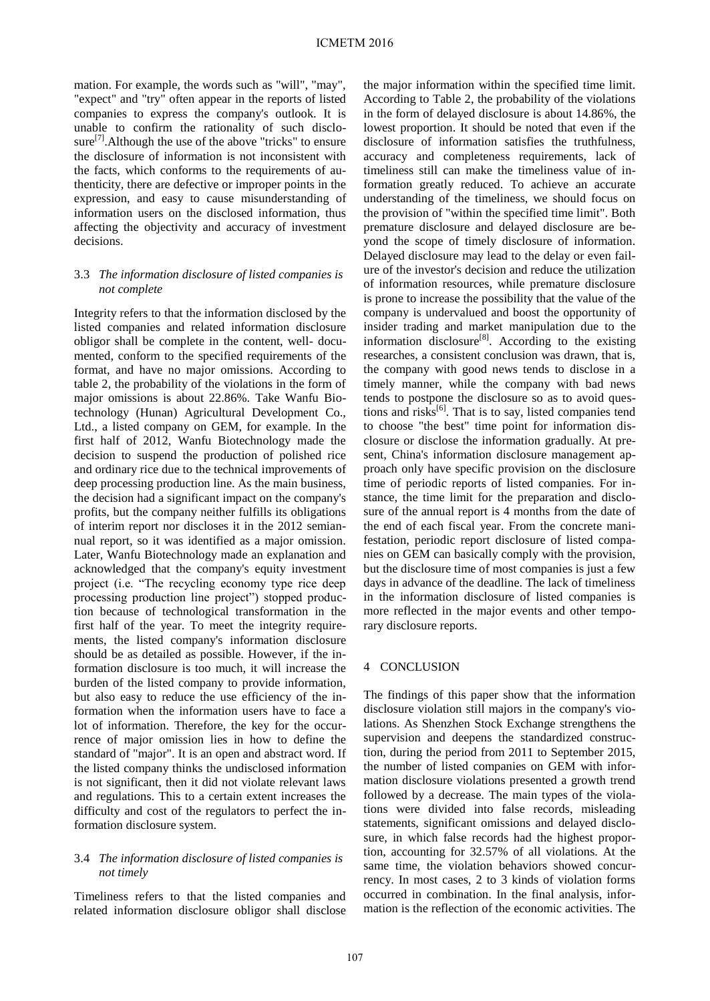mation. For example, the words such as "will", "may", "expect" and "try" often appear in the reports of listed companies to express the company's outlook. It is unable to confirm the rationality of such disclo-sure<sup>[\[7\]](#page-5-1)</sup>. Although the use of the above "tricks" to ensure the disclosure of information is not inconsistent with the facts, which conforms to the requirements of authenticity, there are defective or improper points in the expression, and easy to cause misunderstanding of information users on the disclosed information, thus affecting the objectivity and accuracy of investment decisions.

#### 3.3 *The information disclosure of listed companies is not complete*

Integrity refers to that the information disclosed by the listed companies and related information disclosure obligor shall be complete in the content, well- documented, conform to the specified requirements of the format, and have no major omissions. According to table 2, the probability of the violations in the form of major omissions is about 22.86%. Take Wanfu Biotechnology (Hunan) Agricultural Development Co., Ltd., a listed company on GEM, for example. In the first half of 2012, Wanfu Biotechnology made the decision to suspend the production of polished rice and ordinary rice due to the technical improvements of deep processing production line. As the main business, the decision had a significant impact on the company's profits, but the company neither fulfills its obligations of interim report nor discloses it in the 2012 semiannual report, so it was identified as a major omission. Later, Wanfu Biotechnology made an explanation and acknowledged that the company's equity investment project (i.e. "The recycling economy type rice deep processing production line project") stopped production because of technological transformation in the first half of the year. To meet the integrity requirements, the listed company's information disclosure should be as detailed as possible. However, if the information disclosure is too much, it will increase the burden of the listed company to provide information, but also easy to reduce the use efficiency of the information when the information users have to face a lot of information. Therefore, the key for the occurrence of major omission lies in how to define the standard of "major". It is an open and abstract word. If the listed company thinks the undisclosed information is not significant, then it did not violate relevant laws and regulations. This to a certain extent increases the difficulty and cost of the regulators to perfect the information disclosure system.

#### 3.4 *The information disclosure of listed companies is not timely*

Timeliness refers to that the listed companies and related information disclosure obligor shall disclose the major information within the specified time limit. According to Table 2, the probability of the violations in the form of delayed disclosure is about 14.86%, the lowest proportion. It should be noted that even if the disclosure of information satisfies the truthfulness, accuracy and completeness requirements, lack of timeliness still can make the timeliness value of information greatly reduced. To achieve an accurate understanding of the timeliness, we should focus on the provision of "within the specified time limit". Both premature disclosure and delayed disclosure are beyond the scope of timely disclosure of information. Delayed disclosure may lead to the delay or even failure of the investor's decision and reduce the utilization of information resources, while premature disclosure is prone to increase the possibility that the value of the company is undervalued and boost the opportunity of insider trading and market manipulation due to the information disclosure<sup>[\[8\]](#page-5-2)</sup>. According to the existing researches, a consistent conclusion was drawn, that is, the company with good news tends to disclose in a timely manner, while the company with bad news tends to postpone the disclosure so as to avoid ques-tions and risks<sup>[\[6\]](#page-5-0)</sup>. That is to say, listed companies tend to choose "the best" time point for information disclosure or disclose the information gradually. At present, China's information disclosure management approach only have specific provision on the disclosure time of periodic reports of listed companies. For instance, the time limit for the preparation and disclosure of the annual report is 4 months from the date of the end of each fiscal year. From the concrete manifestation, periodic report disclosure of listed companies on GEM can basically comply with the provision, but the disclosure time of most companies is just a few days in advance of the deadline. The lack of timeliness in the information disclosure of listed companies is more reflected in the major events and other temporary disclosure reports.

## 4 CONCLUSION

The findings of this paper show that the information disclosure violation still majors in the company's violations. As Shenzhen Stock Exchange strengthens the supervision and deepens the standardized construction, during the period from 2011 to September 2015, the number of listed companies on GEM with information disclosure violations presented a growth trend followed by a decrease. The main types of the violations were divided into false records, misleading statements, significant omissions and delayed disclosure, in which false records had the highest proportion, accounting for 32.57% of all violations. At the same time, the violation behaviors showed concurrency. In most cases, 2 to 3 kinds of violation forms occurred in combination. In the final analysis, information is the reflection of the economic activities. The